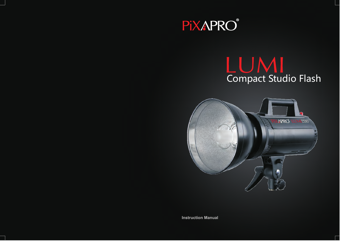

# LUMI<br>Compact Studio Flash



**Instruction Manual**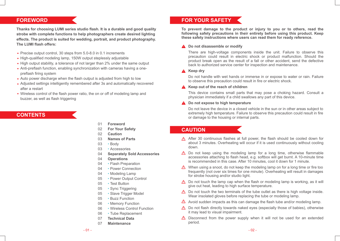# **FOREWORD**

**Thanks for choosing LUMI series studio flash. It is a durable and good quality strobe with complete functions to help photographers create desired lighting effects. The product is suited for wedding, portrait, and product photography. The LUMI flash offers:**

- Precise output control, 30 steps from 5.0-8.0 in 0.1 increments
- High-qualified modeling lamp, 150W output steplessly adjustable
- High output stability, a tolerance of not larger than 2% under the same output
- Anti-preflash function, enabling synchronization with cameras having a onepreflash firing system
- Auto power discharge when the flash output is adjusted from high to low
- Adjusted settings intelligently remembered after 3s and automatically recovered after a restart
- Wireless control of the flash power ratio, the on or off of modeling lamp and buzzer, as well as flash triggering

# **CONTENTS**

- 01 **Foreword**
- 02 **For Your Safety**
- 02 **Caution**
- 03 **Names of Parts**
- 03 · Body
- 03 Accessories
- 04 **Separately Sold Accessories**
- 04 **Operations**
- 04 Flash Preparation
- 04 Power Connection
- 04 Modeling Lamp
- 05 Power Output Control
- 05 Test Button
- 05 Sync Triggering
- 05 Slave Trigger Model
- 05 Buzz Function
- 06 Memory Function
- 06 Wireless Control Function
- 06 Tube Replacement
- 07 **Technical Data**
- 07 **Maintenance**

# **FOR YOUR SAFETY**

**To prevent damage to the product or injury to you or to others, read the following safety precautions in their entirety before using this product. Keep these safety instructions where users can read them for ready reference.**

## **Do not disassemble or modify**

There are high-voltage components inside the unit. Failure to observe this precaution could result in electric shock or product malfunction. Should the product break open as the result of a fall or other accident, send the defective back to authorized service center for inspection and maintenance.

#### **A** Keep dry

Do not handle with wet hands or immerse in or expose to water or rain. Failure to observe this precaution could result in fire or electric shock.

## **A** Keep out of the reach of children

This device contains small parts that may pose a choking hazard. Consult a physician immediately if a child swallows any part of this device.

#### **A** Do not expose to high temperature

Do not leave the device in a closed vehicle in the sun or in other areas subject to extremely high temperature. Failure to observe this precaution could result in fire or damage to the housing or internal parts.

# **CAUTION**

- $\Lambda$  After 30 continuous flashes at full power, the flash should be cooled down for about 3 minutes. Overheating will occur if it is used continuously without cooling down.
- $\triangle$  Do not keep using the modeling lamp for a long time, otherwise flammable accessories attaching to flash head, e.g. softbox will get burnt. A 10-minute time is recommended in this case. After 10 minutes, cool it down for 1 minute.
- When using a snoot, do not keep the modeling lamp on for a long time or fire too frequently (not over six times for one minute). Overheating will result in damages for strobe housing and/or studio light.
- $\Lambda$  Do not touch the lamp cap when the flash or modeling lamp is working, as it will give out heat, leading to high surface temperature.
- $\triangle$  Do not touch the two terminals of the tube outlet as there is high voltage inside. Wear insolated gloves before replacing the tube or modeling lamp.
- A Avoid sudden impacts as this can damage the flash tube and/or modeling lamp.
- $\triangle$  Do not flash directly towards naked eyes (especially those of babies), otherwise it may lead to visual impairment.
- $\triangle$  Disconnect from the power supply when it will not be used for an extended period.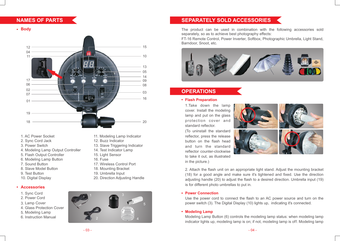# **NAMES OF PARTS**

**Body**



- 
- 2. Sync Cord Jack 12. Buzz Indicator
- 
- 3. Power Switch 13. Slave Triggering Indicator<br>
4. Modeling Lamp Output Controller 14. Test Indicator Lamp 4. Modeling Lamp Output Controller
- 5. Flash Output Controller 15. Light Sensor
- 6. Modeling Lamp Button 16. Fuse
- 
- 
- 
- 

# **Accessories**

- 1. Sync Cord
- 2. Power Cord
- 3. Lamp Cover
- 4. Glass Protection Cover
- 5. Modeling Lamp
- 6. Instruction Manual
- 1. AC Power Socket 11. Modeling Lamp Indicator
	-
	-
	-
	-
	-
- 7. Sound Button 17. Wireless Control Port 8. Slave Model Button 18. Mounting Bracket
	- 18. Mounting Bracket
- 9. Test Button 19. Umbrella Input
- 10. Digital Display 20. Direction Adjusting Handle



# **SEPARATELY SOLD ACCESSORIES**

The product can be used in combination with the following accessories sold separately, so as to achieve best photography effects:

FT-16 Remote Control, Power Inverter, Softbox, Photographic Umbrella, Light Stand, Barndoor, Snoot, etc.



# **OPERATIONS**

# **Flash Preparation**

1.Take down the lamp cover. Install the modeling lamp and put on the glass protection cover and standard reflector.

(To uninstall the standard reflector, press the release button on the flash head and turn the standard reflector counter-clockwise to take it out, as illustrated in the picture.)



2. Attach the flash unit on an appropriate light stand. Adjust the mounting bracket (18) for a good angle and make sure it's tightened and fixed. Use the direction adjusting handle (20) to adjust the flash to a desired direction. Umbrella input (19) is for different photo umbrellas to put in.

# **Power Connection**

Use the power cord to connect the flash to an AC power source and turn on the power switch (3). The Digital Display (10) lights up, indicating it's connected.

## **Modeling Lamp**

Modeling Lamp Button (6) controls the modeling lamp status: when modeling lamp indicator lights up, modeling lamp is on; if not, modeling lamp is off. Modeling lamp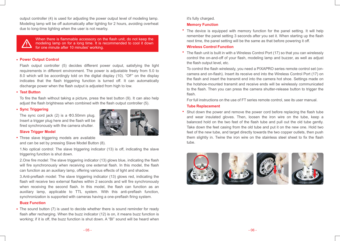output controller (4) is used for adjusting the power output level of modeling lamp. Modeling lamp will be off automatically after lighting for 2 hours, avoiding overheat due to long-time lighting when the user is not nearby.



When there is flammable accessory on the flash unit, do not keep the modeling lamp on for a long time. It is recommended to cool it down for one minute after 10 minutes' working.

#### **Power Output Control**

Flash output controller (5) decides different power output, satisfying the light requirements in different environment. The power is adjustable freely from 5.0 to 8.0 which will be accordingly told on the digital display (10). "OF" on the display indicates that the flash triggering function is turned off. It can automatically discharge power when the flash output is adjusted from high to low.

## **Test Button**

To fire the flash without taking a picture, press the test button (9). It can also help adjust the flash brightness when combined with the flash output controller (5).

## **Sync Triggering**

The sync cord jack (2) is a Φ3.50mm plug. Insert a trigger plug here and the flash will be fired synchronously with the camera shutter.



# **Slave Trigger Model**

Three slave triggering models are available and can be set by pressing Slave Model Button (8).

1.No optical control: The slave triggering indicator (13) is off, indicating the slave triggering function is shut down.

2.One fire model: The slave triggering indicator (13) glows blue, indicating the flash will fire synchronously when receiving one external flash. In this model, the flash can function as an auxiliary lamp, offering various effects of light and shadow.

3.Anti-preflash model: The slave triggering indicator (13) glows red, indicating the flash will receive two external flashes within 2 seconds and will fire synchronously when receiving the second flash. In this model, the flash can function as an auxiliary lamp, applicable to TTL system. With this anti-preflash function, synchronization is supported with cameras having a one-preflash firing system.

## **Buzz Function**

The sound button (7) is used to decide whether there is sound reminder for ready flash after recharging. When the buzz indicator (12) is on, it means buzz function is working; if it is off, the buzz function is shut down. A "BI" sound will be heard when

## it's fully charged.

## **Memory Function**

• The device is equipped with memory function for the panel setting. It will help remember the panel setting 3 seconds after you set it. When starting up the flash next time, the panel setting will be the same as that before powering it off.

# **Wireless Control Function**

• The flash unit is built in with a Wireless Control Port (17) so that you can wirelessly control the on-and-off of your flash, modeling lamp and buzzer, as well as adjust the flash output level, etc.

To control the flash wirelessly, you need a PIXAPRO series remote control set (oncamera and on-flash). Insert its receive end into the Wireless Control Port (17) on the flash and insert the transmit end into the camera hot shoe. Settings made on the hotshoe-mounted transmit and receive ends will be wirelessly communicated to the flash. Then you can press the camera shutter-release button to trigger the flash.

For full instructions on the use of FT series remote control, see its user manual.

#### **Tube Replacement**

Shut down the power and remove the power cord before replacing the flash tube and wear insulated gloves. Then, loosen the iron wire on the tube, keep a balanced hold on the two feet of the flash tube and pull out the old tube gently. Take down the feet casing from the old tube and put it on the new one. Hold two feet of the new tube, and target directly towards the two copper outlets, then push them slightly in. Twine the iron wire on the stainless steel sheet to fix the flash tube.